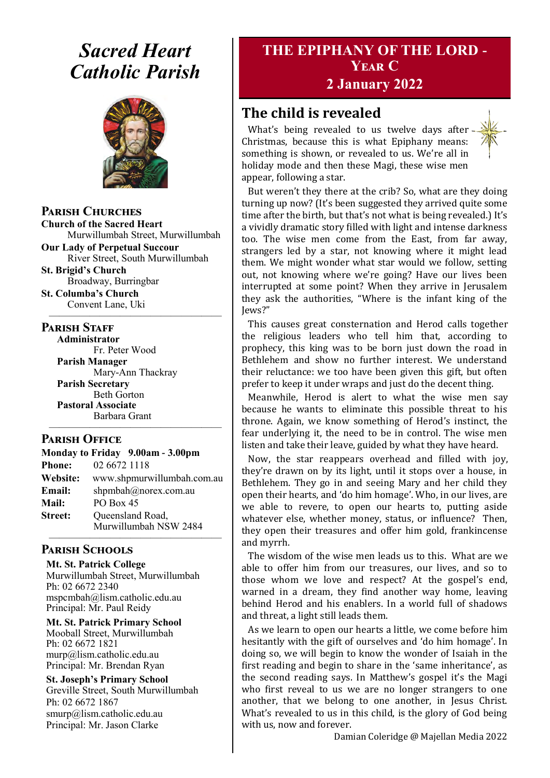# *Sacred Heart Catholic Parish*



**Parish Churches**

**Church of the Sacred Heart** Murwillumbah Street, Murwillumbah

**Our Lady of Perpetual Succour** River Street, South Murwillumbah **St. Brigid's Church**

Broadway, Burringbar **St. Columba's Church**

Convent Lane, Uki —————————————————

#### **PARISH STAFF**

**Administrator** Fr. Peter Wood **Parish Manager** Mary-Ann Thackray **Parish Secretary** Beth Gorton **Pastoral Associate** Barbara Grant —————————————————

#### **Parish Office**

**Monday to Friday 9.00am - 3.00pm Phone:** 02 6672 1118 **Website:** www.shpmurwillumbah.com.au **Email:** shpmbah@norex.com.au **Mail:** PO Box 45 **Street:** Oueensland Road, Murwillumbah NSW 2484 —————————————————

#### **Parish Schools**

**Mt. St. Patrick College** Murwillumbah Street, Murwillumbah Ph: 02 6672 2340 mspcmbah@lism.catholic.edu.au Principal: Mr. Paul Reidy

**Mt. St. Patrick Primary School** Mooball Street, Murwillumbah Ph: 02 6672 1821 murp@lism.catholic.edu.au Principal: Mr. Brendan Ryan

**St. Joseph's Primary School** Greville Street, South Murwillumbah Ph: 02 6672 1867 smurp@lism.catholic.edu.au Principal: Mr. Jason Clarke

# **THE EPIPHANY OF THE LORD - Year C**

# **2 January 2022**

# **The child is revealed**

What's being revealed to us twelve days after -Christmas, because this is what Epiphany means: something is shown, or revealed to us. We're all in holiday mode and then these Magi, these wise men appear, following a star.

But weren't they there at the crib? So, what are they doing turning up now? (It's been suggested they arrived quite some time after the birth, but that's not what is being revealed.) It's a vividly dramatic story filled with light and intense darkness too. The wise men come from the East, from far away, strangers led by a star, not knowing where it might lead them. We might wonder what star would we follow, setting out, not knowing where we're going? Have our lives been interrupted at some point? When they arrive in Jerusalem they ask the authorities, "Where is the infant king of the Jews?"

This causes great consternation and Herod calls together the religious leaders who tell him that, according to prophecy, this king was to be born just down the road in Bethlehem and show no further interest. We understand their reluctance: we too have been given this gift, but often prefer to keep it under wraps and just do the decent thing.

Meanwhile, Herod is alert to what the wise men say because he wants to eliminate this possible threat to his throne. Again, we know something of Herod's instinct, the fear underlying it, the need to be in control. The wise men listen and take their leave, guided by what they have heard.

Now, the star reappears overhead and filled with joy, they're drawn on by its light, until it stops over a house, in Bethlehem. They go in and seeing Mary and her child they open their hearts, and 'do him homage'. Who, in our lives, are we able to revere, to open our hearts to, putting aside whatever else, whether money, status, or influence? Then, they open their treasures and offer him gold, frankincense and myrrh.

The wisdom of the wise men leads us to this. What are we able to offer him from our treasures, our lives, and so to those whom we love and respect? At the gospel's end, warned in a dream, they find another way home, leaving behind Herod and his enablers. In a world full of shadows and threat, a light still leads them.

As we learn to open our hearts a little, we come before him hesitantly with the gift of ourselves and 'do him homage'. In doing so, we will begin to know the wonder of Isaiah in the first reading and begin to share in the 'same inheritance', as the second reading says. In Matthew's gospel it's the Magi who first reveal to us we are no longer strangers to one another, that we belong to one another, in Jesus Christ. What's revealed to us in this child, is the glory of God being with us, now and forever.

Damian Coleridge @ Majellan Media 2022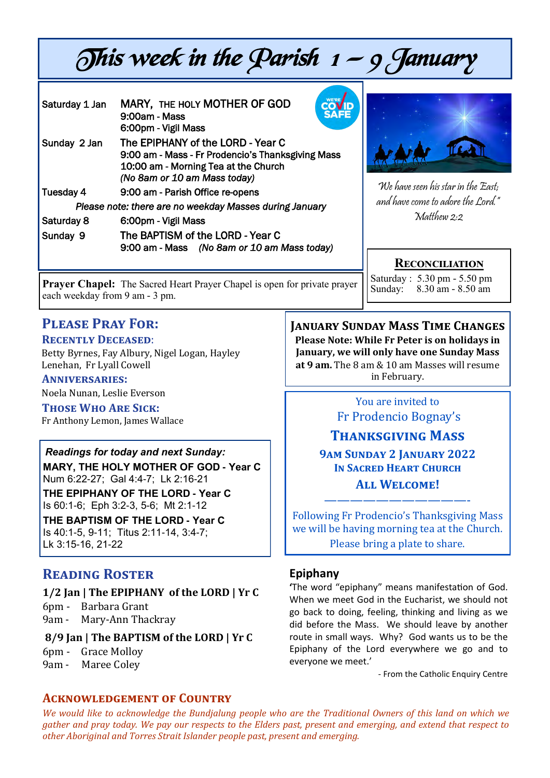# This week in the Parish  $1 - 9$  January

| Saturday 1 Jan                                          | <b>COV<sub>D</sub></b><br>MARY, THE HOLY MOTHER OF GOD<br><b>SAFE</b><br>9:00am - Mass<br>6:00pm - Vigil Mass                                                  |                                    |
|---------------------------------------------------------|----------------------------------------------------------------------------------------------------------------------------------------------------------------|------------------------------------|
| Sunday 2 Jan                                            | The EPIPHANY of the LORD - Year C<br>9:00 am - Mass - Fr Prodencio's Thanksgiving Mass<br>10:00 am - Morning Tea at the Church<br>(No 8am or 10 am Mass today) | We have seen his star in the East; |
| Tuesday 4                                               | 9:00 am - Parish Office re-opens                                                                                                                               |                                    |
| Please note: there are no weekday Masses during January |                                                                                                                                                                | and have come to adore the Lord."  |
| Saturday 8                                              | 6:00pm - Vigil Mass                                                                                                                                            | Matthew 2:2                        |
| Sunday 9                                                | The BAPTISM of the LORD - Year C<br>9:00 am - Mass (No 8am or 10 am Mass today)                                                                                |                                    |

**Prayer Chapel:** The Sacred Heart Prayer Chapel is open for private prayer each weekday from 9 am - 3 pm.

Saturday : 5.30 pm - 5.50 pm  $8.30 \text{ am} - 8.50 \text{ am}$ 

**Reconciliation**

# **Please Pray For:**

#### **Recently Deceased**:

Betty Byrnes, Fay Albury, Nigel Logan, Hayley Lenehan, Fr Lyall Cowell

**Anniversaries:** Noela Nunan, Leslie Everson

**Those Who Are Sick:**  Fr Anthony Lemon, James Wallace

#### *Readings for today and next Sunday:*

**MARY, THE HOLY MOTHER OF GOD - Year C**  Num 6:22-27; Gal 4:4-7; Lk 2:16-21

**THE EPIPHANY OF THE LORD - Year C**  Is 60:1-6; Eph 3:2-3, 5-6; Mt 2:1-12

# **THE BAPTISM OF THE LORD - Year C**

Is 40:1-5, 9-11; Titus 2:11-14, 3:4-7; Lk 3:15-16, 21-22

# **Reading Roster**

#### **1/2 Jan | The EPIPHANY of the LORD | Yr C**

6pm - Barbara Grant 9am - Mary-Ann Thackray

#### **8/9 Jan | The BAPTISM of the LORD | Yr C**

- 6pm Grace Molloy
- 9am Maree Coley

#### **Acknowledgement of Country**

**January Sunday Mass Time Changes Please Note: While Fr Peter is on holidays in January, we will only have one Sunday Mass at 9 am.** The 8 am & 10 am Masses will resume in February.

#### You are invited to Fr Prodencio Bognay's

## **Thanksgiving Mass**

**9am Sunday 2 January 2022 In Sacred Heart Church All Welcome!**

Following Fr Prodencio's Thanksgiving Mass we will be having morning tea at the Church. Please bring a plate to share.

———————————-

#### **Epiphany**

**'**The word "epiphany" means manifestation of God. When we meet God in the Eucharist, we should not go back to doing, feeling, thinking and living as we did before the Mass. We should leave by another route in small ways. Why? God wants us to be the Epiphany of the Lord everywhere we go and to everyone we meet.'

- From the Catholic Enquiry Centre

*We would like to acknowledge the Bundjalung people who are the Traditional Owners of this land on which we gather and pray today. We pay our respects to the Elders past, present and emerging, and extend that respect to other Aboriginal and Torres Strait Islander people past, present and emerging.*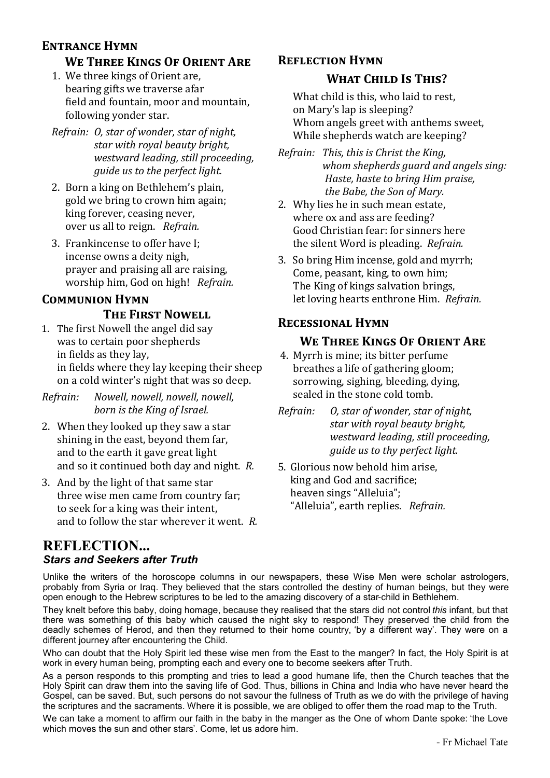#### **Entrance Hymn**

# **We Three Kings Of Orient Are**

- 1. We three kings of Orient are, bearing gifts we traverse afar field and fountain, moor and mountain, following yonder star.
- *Refrain: O, star of wonder, star of night, star with royal beauty bright, westward leading, still proceeding, guide us to the perfect light.*
- 2. Born a king on Bethlehem's plain, gold we bring to crown him again; king forever, ceasing never, over us all to reign. *Refrain.*
- 3. Frankincense to offer have I; incense owns a deity nigh, prayer and praising all are raising, worship him, God on high! *Refrain.*

# **Communion Hymn**

#### **The First Nowell**

- 1. The first Nowell the angel did say was to certain poor shepherds in fields as they lay, in fields where they lay keeping their sheep on a cold winter's night that was so deep.
- *Refrain: Nowell, nowell, nowell, nowell, born is the King of Israel.*
- 2. When they looked up they saw a star shining in the east, beyond them far, and to the earth it gave great light and so it continued both day and night. *R.*
- 3. And by the light of that same star three wise men came from country far; to seek for a king was their intent, and to follow the star wherever it went. *R.*

# **Reflection Hymn**

#### **What Child Is This?**

What child is this, who laid to rest, on Mary's lap is sleeping? Whom angels greet with anthems sweet, While shepherds watch are keeping?

*Refrain: This, this is Christ the King, whom shepherds guard and angels sing: Haste, haste to bring Him praise, the Babe, the Son of Mary.*

- 2. Why lies he in such mean estate, where ox and ass are feeding? Good Christian fear: for sinners here the silent Word is pleading. *Refrain.*
- 3. So bring Him incense, gold and myrrh; Come, peasant, king, to own him; The King of kings salvation brings, let loving hearts enthrone Him. *Refrain.*

#### **Recessional Hymn**

#### **We Three Kings Of Orient Are**

- 4. Myrrh is mine; its bitter perfume breathes a life of gathering gloom; sorrowing, sighing, bleeding, dying, sealed in the stone cold tomb.
- *Refrain: O, star of wonder, star of night, star with royal beauty bright, westward leading, still proceeding, guide us to thy perfect light.*
- 5. Glorious now behold him arise, king and God and sacrifice; heaven sings "Alleluia"; "Alleluia", earth replies. *Refrain.*

#### **REFLECTION...** *Stars and Seekers after Truth*

Unlike the writers of the horoscope columns in our newspapers, these Wise Men were scholar astrologers, probably from Syria or Iraq. They believed that the stars controlled the destiny of human beings, but they were open enough to the Hebrew scriptures to be led to the amazing discovery of a star-child in Bethlehem.

They knelt before this baby, doing homage, because they realised that the stars did not control *this* infant, but that there was something of this baby which caused the night sky to respond! They preserved the child from the deadly schemes of Herod, and then they returned to their home country, 'by a different way'. They were on a different journey after encountering the Child.

Who can doubt that the Holy Spirit led these wise men from the East to the manger? In fact, the Holy Spirit is at work in every human being, prompting each and every one to become seekers after Truth.

As a person responds to this prompting and tries to lead a good humane life, then the Church teaches that the Holy Spirit can draw them into the saving life of God. Thus, billions in China and India who have never heard the Gospel, can be saved. But, such persons do not savour the fullness of Truth as we do with the privilege of having the scriptures and the sacraments. Where it is possible, we are obliged to offer them the road map to the Truth.

We can take a moment to affirm our faith in the baby in the manger as the One of whom Dante spoke: 'the Love which moves the sun and other stars'. Come, let us adore him.